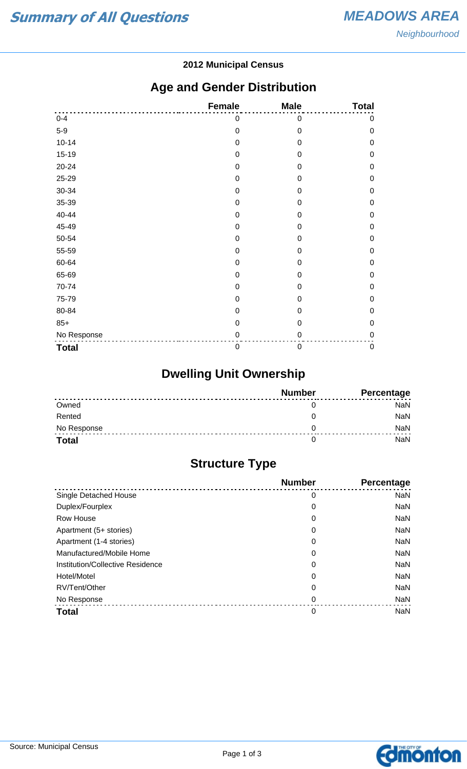#### **2012 Municipal Census**

## **Age and Gender Distribution**

|              | <b>Female</b> | <b>Male</b>      | <b>Total</b> |
|--------------|---------------|------------------|--------------|
| $0 - 4$      | 0             | $\mathbf 0$      | $\mathbf 0$  |
| $5-9$        | $\mathbf 0$   | $\mathbf 0$      | $\mathbf 0$  |
| $10 - 14$    | $\mathbf 0$   | $\mathbf 0$      | $\mathbf 0$  |
| $15-19$      | 0             | 0                | $\mathbf 0$  |
| 20-24        | $\mathbf 0$   | 0                | $\mathbf 0$  |
| 25-29        | 0             | $\mathbf 0$      | $\mathbf 0$  |
| 30-34        | 0             | $\overline{0}$   | $\mathbf 0$  |
| 35-39        | $\mathbf 0$   | 0                | $\mathbf 0$  |
| 40-44        | 0             | 0                | $\mathbf 0$  |
| 45-49        | 0             | 0                | $\mathbf 0$  |
| 50-54        | $\mathbf 0$   | $\mathbf 0$      | $\mathbf 0$  |
| 55-59        | $\mathbf 0$   | $\mathbf 0$      | $\mathbf 0$  |
| 60-64        | 0             | 0                | $\mathbf 0$  |
| 65-69        | $\mathbf 0$   | 0                | $\mathbf 0$  |
| 70-74        | 0             | $\mathbf 0$      | $\mathbf 0$  |
| 75-79        | 0             | $\overline{0}$   | $\mathbf 0$  |
| 80-84        | 0             | 0                | $\mathbf 0$  |
| $85+$        | $\mathbf 0$   | $\mathbf 0$      | $\mathbf 0$  |
| No Response  | 0             | 0                | $\mathbf 0$  |
| <b>Total</b> | $\mathbf 0$   | $\boldsymbol{0}$ | $\pmb{0}$    |

# **Dwelling Unit Ownership**

|              | <b>Number</b> | Percentage |
|--------------|---------------|------------|
| Owned        |               | NaN        |
| Rented       |               | NaN        |
| No Response  |               | <b>NaN</b> |
| <b>Total</b> |               | NaN        |

## **Structure Type**

|                                  | <b>Number</b> | <b>Percentage</b> |
|----------------------------------|---------------|-------------------|
| Single Detached House            | 0             | <b>NaN</b>        |
| Duplex/Fourplex                  | 0             | <b>NaN</b>        |
| Row House                        | 0             | <b>NaN</b>        |
| Apartment (5+ stories)           | 0             | <b>NaN</b>        |
| Apartment (1-4 stories)          | 0             | <b>NaN</b>        |
| Manufactured/Mobile Home         | 0             | <b>NaN</b>        |
| Institution/Collective Residence | 0             | <b>NaN</b>        |
| Hotel/Motel                      | 0             | <b>NaN</b>        |
| RV/Tent/Other                    | 0             | <b>NaN</b>        |
| No Response                      | 0             | <b>NaN</b>        |
| <b>Total</b>                     | 0             | <b>NaN</b>        |

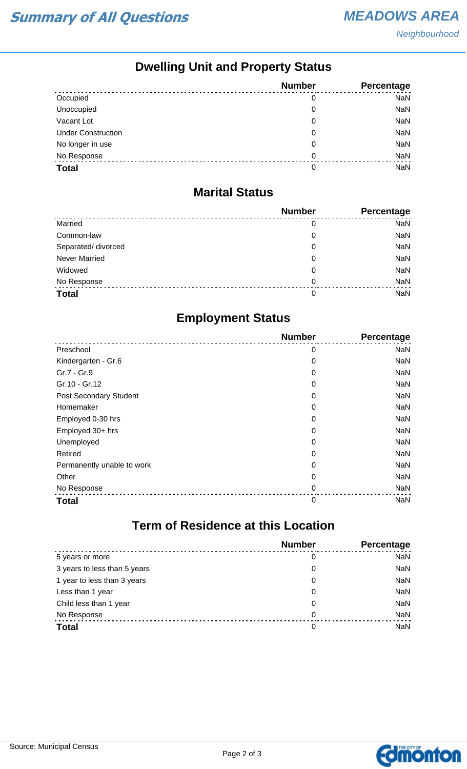**Neighbourhood** 

## **Dwelling Unit and Property Status**

|                           | <b>Number</b> | Percentage |
|---------------------------|---------------|------------|
| Occupied                  | 0             | <b>NaN</b> |
| Unoccupied                | 0             | <b>NaN</b> |
| Vacant Lot                | 0             | <b>NaN</b> |
| <b>Under Construction</b> | 0             | <b>NaN</b> |
| No longer in use          | 0             | <b>NaN</b> |
| No Response               | 0             | <b>NaN</b> |
| <b>Total</b>              | 0             | <b>NaN</b> |

#### **Marital Status**

|                      | <b>Number</b> | Percentage |
|----------------------|---------------|------------|
| Married              | 0             | <b>NaN</b> |
| Common-law           | 0             | <b>NaN</b> |
| Separated/divorced   | 0             | <b>NaN</b> |
| <b>Never Married</b> | 0             | <b>NaN</b> |
| Widowed              | 0             | <b>NaN</b> |
| No Response          | 0             | <b>NaN</b> |
| <b>Total</b>         | 0             | <b>NaN</b> |

## **Employment Status**

|                            | <b>Number</b> | Percentage |
|----------------------------|---------------|------------|
| Preschool                  | 0             | <b>NaN</b> |
| Kindergarten - Gr.6        | 0             | <b>NaN</b> |
| Gr.7 - Gr.9                | 0             | <b>NaN</b> |
| Gr.10 - Gr.12              | 0             | <b>NaN</b> |
| Post Secondary Student     | 0             | <b>NaN</b> |
| Homemaker                  | 0             | <b>NaN</b> |
| Employed 0-30 hrs          | 0             | <b>NaN</b> |
| Employed 30+ hrs           | 0             | <b>NaN</b> |
| Unemployed                 | 0             | <b>NaN</b> |
| Retired                    | 0             | <b>NaN</b> |
| Permanently unable to work | 0             | <b>NaN</b> |
| Other                      | 0             | <b>NaN</b> |
| No Response                | $\mathbf 0$   | <b>NaN</b> |
| <b>Total</b>               | 0             | <b>NaN</b> |

# **Term of Residence at this Location**

|                              | <b>Number</b> | Percentage |
|------------------------------|---------------|------------|
| 5 years or more              | 0             | <b>NaN</b> |
| 3 years to less than 5 years | 0             | <b>NaN</b> |
| 1 year to less than 3 years  | 0             | <b>NaN</b> |
| Less than 1 year             | 0             | <b>NaN</b> |
| Child less than 1 year       | 0             | <b>NaN</b> |
| No Response                  | 0             | <b>NaN</b> |
| <b>Total</b>                 | 0             | <b>NaN</b> |